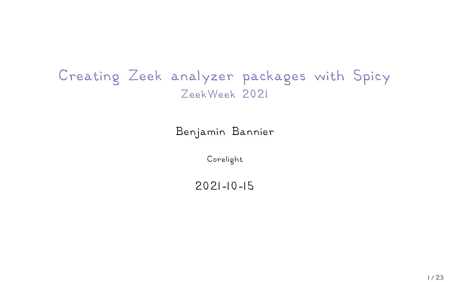# Creating Zeek analyzer packages with Spicy ZeekWeek 2021

### Benjamin Bannier

Corelight

#### 2021-10-15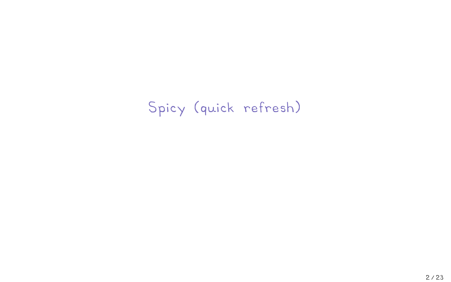Spicy (quick refresh)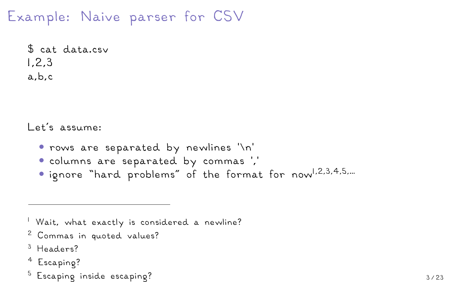# Example: Naive parser for CSV

\$ cat data.csv 1,2,3 a,b,c

Let's assume:

- rows are separated by newlines '\n'
- columns are separated by commas ','
- ignore "hard problems" of the format for now<sup>1,2,3,4,5,...</sup>

<sup>1</sup> Wait, what exactly is considered a newline?

- <sup>2</sup> Commas in quoted values?
- <sup>3</sup> Headers?
- <sup>4</sup> Escaping?
- $5$  Escaping inside escaping?  $3/23$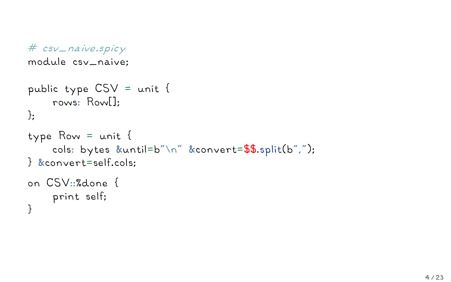```
# csv_naive.spicy
```
module csv\_naive;

```
public type CSV = unit {
    rows: Row[];
};
type Row = unit {
    cols: bytes &until=b"\n" &convert=$$.split(b",");
} &convert=self.cols;
on CSV::%done {
    print self;
}
```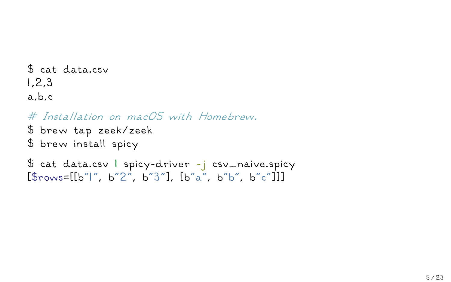```
$ cat data.csv
1,2,3a,b,c
```

```
# Installation on macOS with Homebrew.
```
\$ brew tap zeek/zeek \$ brew install spicy

```
$ cat data.csv | spicy-driver -j csv_naive.spicy
[\text{Strows}=[\text{b}^{\prime\prime}]^{\prime\prime}, \text{b}^{\prime\prime}2^{\prime\prime}, \text{b}^{\prime\prime}3^{\prime\prime}]. [\text{b}^{\prime\prime}a^{\prime\prime}, \text{b}^{\prime\prime}b^{\prime\prime}, \text{b}^{\prime\prime}c^{\prime\prime}]]
```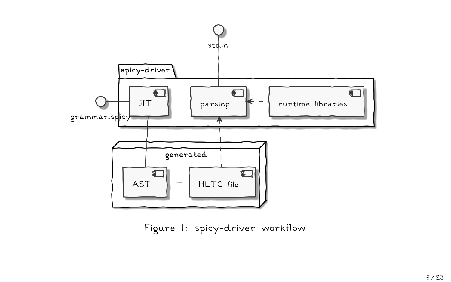

Figure 1: spicy-driver workflow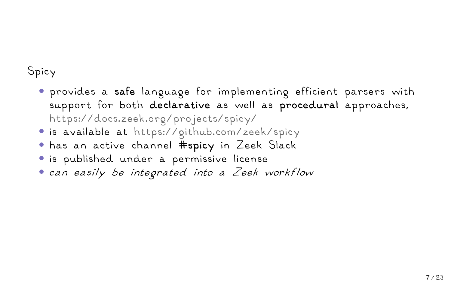### Spicy

- provides a **safe** language for implementing efficient parsers with support for both **declarative** as well as **procedural** approaches, https://docs.zeek.org/projects/spicy/
- is available at https://github.com/zeek/spicy
- has an active channel **#spicy** in Zeek Slack
- is published under a permissive license
- *can easily be integrated into a Zeek workflow*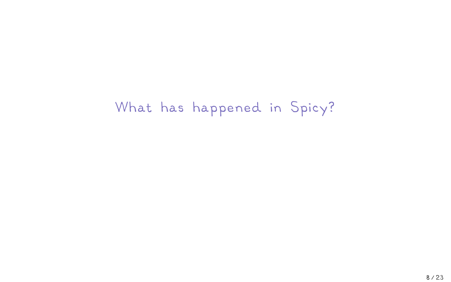What has happened in Spicy?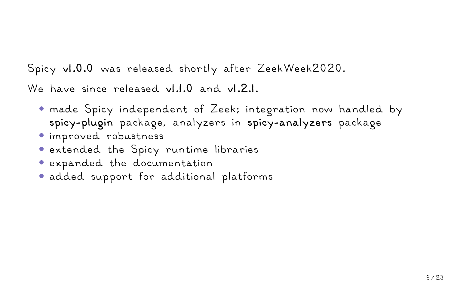Spicy **v1.0.0** was released shortly after ZeekWeek2020.

We have since released **v1.1.0** and **v1.2.1**.

- made Spicy independent of Zeek; integration now handled by **spicy-plugin** package, analyzers in **spicy-analyzers** package
- improved robustness
- extended the Spicy runtime libraries
- expanded the documentation
- added support for additional platforms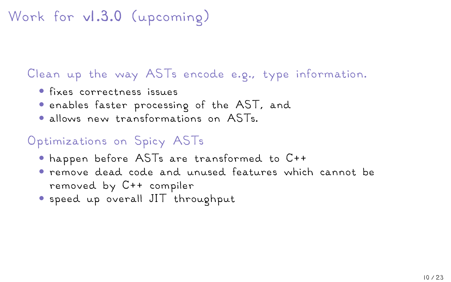# Work for **v1.3.0** (upcoming)

### Clean up the way ASTs encode e.g., type information.

- fixes correctness issues
- enables faster processing of the AST, and
- allows new transformations on ASTs.

## Optimizations on Spicy ASTs

- happen before ASTs are transformed to C++
- remove dead code and unused features which cannot be removed by C++ compiler
- speed up overall JIT throughput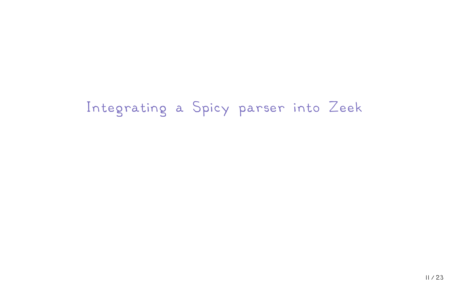Integrating a Spicy parser into Zeek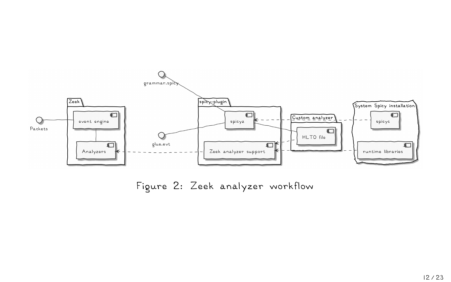

Figure 2: Zeek analyzer workflow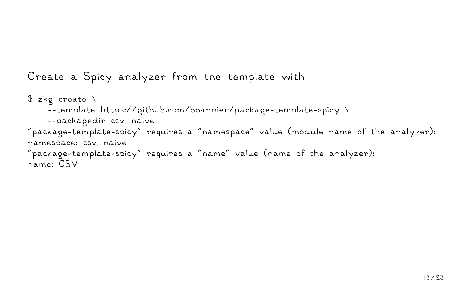#### Create a Spicy analyzer from the template with

```
$ zkp create \
    --template https://github.com/bbannier/package-template-spicy \
    --packagedir csv_naive
"package-template-spicy" requires a "namespace" value (module name of the analyzer):
namespace: csv_naive
"package-template-spicy" requires a "name" value (name of the analyzer):
name: CSV
```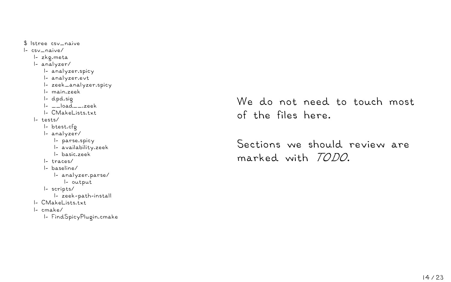\$ lstree csv\_naive |- csv\_naive/ |- zkg.meta |- analyzer/ |- analyzer.spicy |- analyzer.evt |- zeek\_analyzer.spicy |- main.zeek |- dpd.sig  $|-$ load $-$ zeek |- CMakeLists.txt |- tests/ |- btest.cfg |- analyzer/ |- parse.spicy |- availability.zeek |- basic.zeek |- traces/ |- baseline/ |- analyzer.parse/ |- output |- scripts/ |- zeek-path-install |- CMakeLists.txt |- cmake/ |- FindSpicyPlugin.cmake

We do not need to touch most of the files here.

Sections we should review are marked with *TODO*.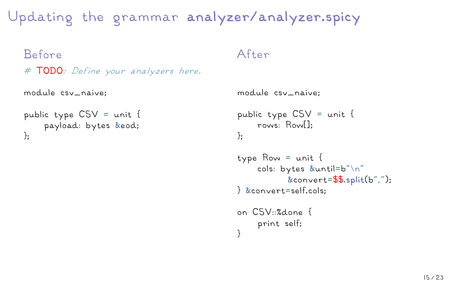Updating the grammar **analyzer/analyzer.spicy**

```
Before
# TODO: Define your analyzers here.
```

```
module csv_naive;
```

```
public type CSV = unit {
    payload: bytes &eod;
};
```
#### After

```
module csv_naive;
public type CSV = unit {
    rows: Row[];
};
```

```
type Row = unit {
    cols: bytes &until=b"\n"
           &convert=$$.split(b",");
} &convert=self.cols;
on CSV::%done {
    print self;
```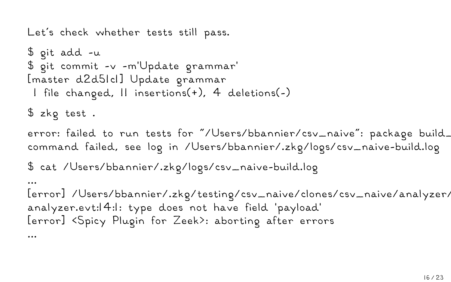Let's check whether tests still pass.

```
$ git add -u
$ git commit -v -m'Update grammar'
[master d2d51c1] Update grammar
 1 file changed, 11 insertions(+), 4 deletions(-)
$ zkg test .
error: failed to run tests for "/Users/bbannier/csv_naive": package build_
command failed, see log in /Users/bbannier/.zkg/logs/csv_naive-build.log
$ cat /Users/bbannier/.zkg/logs/csv_naive-build.log
...
[error] /Users/bbannier/.zkg/testing/csv_naive/clones/csv_naive/analyzer/
analyzer.evt:14:1: type does not have field 'payload'
[error] <Spicy Plugin for Zeek>: aborting after errors
```
...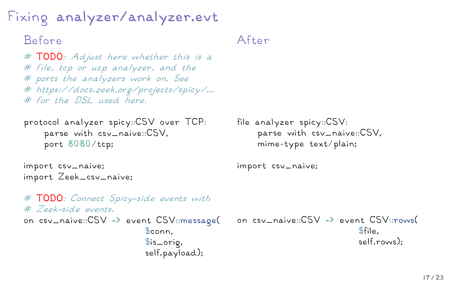Fixing **analyzer/analyzer.evt**

### Before

*#* **TODO***: Adjust here whether this is a # file, tcp or ucp analyzer, and the # ports the analyzers work on. See # https://docs.zeek.org/projects/spicy/... # for the DSL used here.*

```
protocol analyzer spicy::CSV over TCP:
    parse with csv_naive::CSV,
    port 8080/tcp;
```

```
import csv_naive;
import Zeek_csv_naive;
```

```
After
```

```
file analyzer spicy::CSV:
    parse with csv_naive::CSV,
    mime-type text/plain;
```
import csv\_naive;

```
# TODO: Connect Spicy-side events with
# Zeek-side events.
on csv_naive::CSV -> event CSV::message(
                          $conn,
                          $is_orig,
                          self.payload);
                                            on csv_naive::CSV -> event CSV::rows(
                                                                        $file,
                                                                        self.rows);
```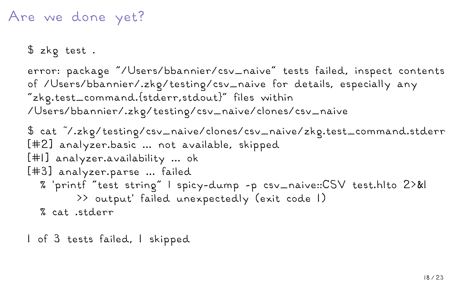## Are we done yet?

\$ zkg test .

error: package "/Users/bbannier/csv\_naive" tests failed, inspect contents of /Users/bbannier/.zkg/testing/csv\_naive for details, especially any "zkg.test\_command.{stderr,stdout}" files within /Users/bbannier/.zkg/testing/csv\_naive/clones/csv\_naive

```
$ cat ~/.zkg/testing/csv_naive/clones/csv_naive/zkg.test_command.stderr
[#2] analyzer.basic ... not available, skipped
[#1] analyzer.availability ... ok
[#3] analyzer.parse ... failed
  % 'printf "test string" | spicy-dump -p csv_naive::CSV test.hlto 2>&1
        >> output' failed unexpectedly (exit code 1)
  % cat .stderr
```
1 of 3 tests failed, 1 skipped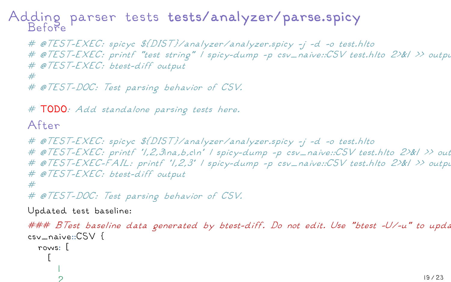#### Adding parser tests **tests/analyzer/parse.spicy** Before

*# @TEST-EXEC: spicyc \${DIST}/analyzer/analyzer.spicy -j -d -o test.hlto # @TEST-EXEC: printf "test string" | spicy-dump -p csv\_naive::CSV test.hlto 2>&1 >> output # @TEST-EXEC: btest-diff output #*

*# @TEST-DOC: Test parsing behavior of CSV.*

*#* **TODO***: Add standalone parsing tests here.*

#### After

```
# @TEST-EXEC: spicyc ${DIST}/analyzer/analyzer.spicy -j -d -o test.hlto
# @TEST-EXEC: printf '1,2,3\na,b,c\n' | spicy-dump -p csv_naive::CSV test.hlto 2>&1 >> output
# @TEST-EXEC-FAIL: printf '1,2,3' | spicy-dump -p csv_naive::CSV test.hlto 2>&1 >> output
# @TEST-EXEC: btest-diff output
#
```
*# @TEST-DOC: Test parsing behavior of CSV.*

Updated test baseline:

```
### BTest baseline data generated by btest-diff. Do not edit. Use "btest -U/-u" to update. Requires BTest >= 0.63.
csv_naive::CSV {
  rows: [
     [
        1
        2
```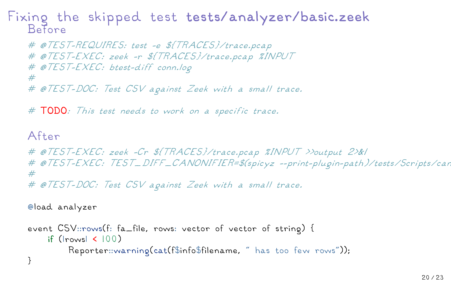Fixing the skipped test **tests/analyzer/basic.zeek** Before

```
# @TEST-REQUIRES: test -e ${TRACES}/trace.pcap
# @TEST-EXEC: zeek -r ${TRACES}/trace.pcap %INPUT
# @TEST-EXEC: btest-diff conn.log
#
# @TEST-DOC: Test CSV against Zeek with a small trace.
```
*#* **TODO***: This test needs to work on a specific trace.*

#### After

```
# @TEST-EXEC: zeek -Cr ${TRACES}/trace.pcap %INPUT >>output 2>&1
# @TEST-EXEC: TEST_DIFF_CANONIFIER=$(spicyz --print-plugin-path)/tests/Scripts/car
#
# @TEST-DOC: Test CSV against Zeek with a small trace.
```
@load analyzer

```
event CSV::rows(f: fa_file, rows: vector of vector of string) {
    if (|rows| < 100)
         Reporter::warning(cat(f$info$filename, " has too few rows"));
}
```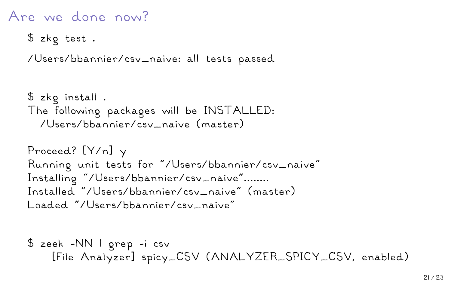# Are we done now?

```
$ zkg test .
```
/Users/bbannier/csv\_naive: all tests passed

```
$ zkg install .
The following packages will be INSTALLED:
  /Users/bbannier/csv_naive (master)
```

```
Proceed? [Y/n] y
Running unit tests for "/Users/bbannier/csv_naive"
Installing "/Users/bbannier/csv_naive"........
Installed "/Users/bbannier/csv_naive" (master)
Loaded "/Users/bbannier/csv_naive"
```

```
$ zeek -NN | grep -i csv
   [File Analyzer] spicy_CSV (ANALYZER_SPICY_CSV, enabled)
```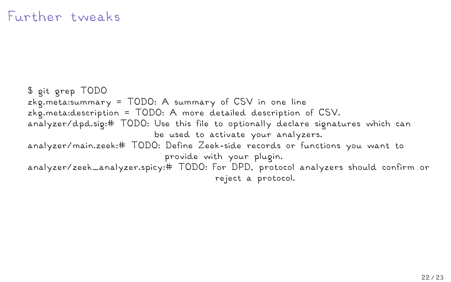\$ git grep TODO zkg.meta:summary = TODO: A summary of CSV in one line zkg.meta:description = TODO: A more detailed description of CSV. analyzer/dpd.sig:# TODO: Use this file to optionally declare signatures which can be used to activate your analyzers. analyzer/main.zeek:# TODO: Define Zeek-side records or functions you want to provide with your plugin. analyzer/zeek\_analyzer.spicy:# TODO: For DPD, protocol analyzers should confirm or reject a protocol.